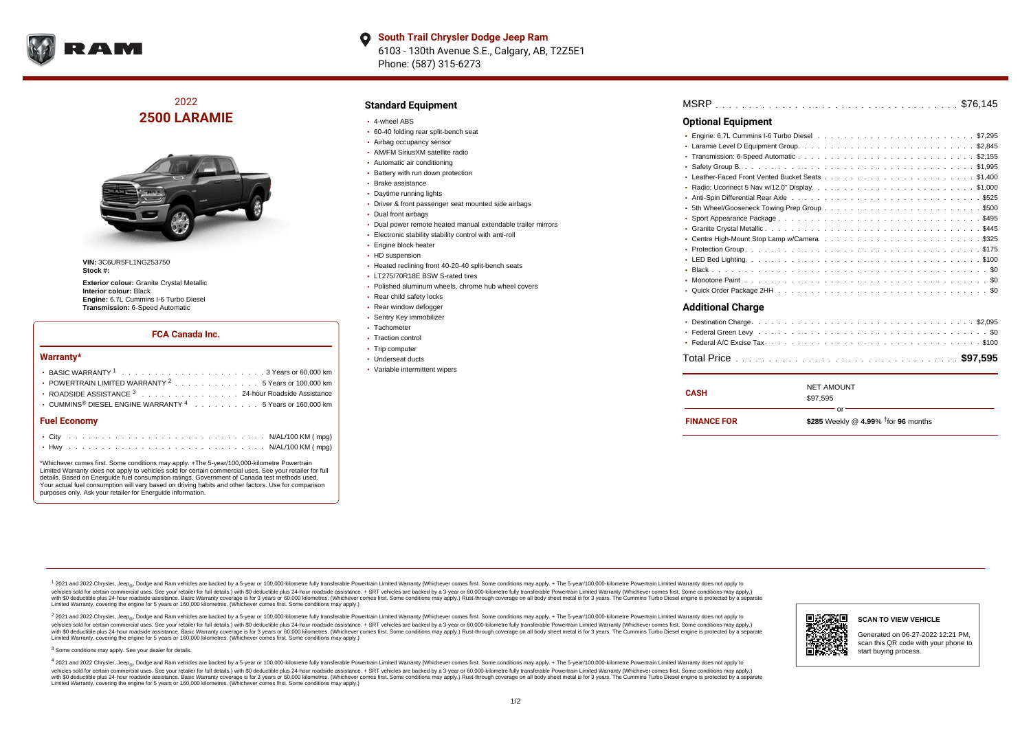

# 2022 **2500 LARAMIE**



**VIN:** 3C6UR5FL1NG253750 **Stock #:**

**Exterior colour:** Granite Crystal Metallic **Interior colour:** Black **Engine:** 6.7L Cummins I-6 Turbo Diesel **Transmission:** 6-Speed Automatic

### **FCA Canada Inc.**

#### **Warranty\***

| <b>Fuel Economy</b>                                                                    |  |  |
|----------------------------------------------------------------------------------------|--|--|
| $\cdot$ CUMMINS <sup>®</sup> DIESEL ENGINE WARRANTY <sup>4</sup> 5 Years or 160,000 km |  |  |
| ROADSIDE ASSISTANCE 3 24-hour Roadside Assistance                                      |  |  |
| • POWERTRAIN LIMITED WARRANTY <sup>2</sup> 5 Years or 100,000 km                       |  |  |
|                                                                                        |  |  |

\*Whichever comes first. Some conditions may apply. +The 5-year/100,000-kilometre Powertrain Limited Warranty does not apply to vehicles sold for certain commercial uses. See your retailer for full details. Based on Energuide fuel consumption ratings. Government of Canada test methods used. Your actual fuel consumption will vary based on driving habits and other factors. Use for comparison purposes only. Ask your retailer for Energuide information.

### **Standard Equipment**

- 4-wheel ABS
- 60-40 folding rear split-bench seat
- Airbag occupancy sensor
- AM/FM SiriusXM satellite radio
- Automatic air conditioning
- **Battery with run down protection**
- Brake assistance
- Daytime running lights
- Driver & front passenger seat mounted side airbags
- Dual front airbags
- Dual power remote heated manual extendable trailer mirrors
- Electronic stability stability control with anti-roll
- Engine block heater
- HD suspension
- Heated reclining front 40-20-40 split-bench seats
- LT275/70R18E BSW S-rated tires
- Polished aluminum wheels, chrome hub wheel covers
- Rear child safety locks
- Rear window defogger
- Sentry Key immobilizer
- Tachometer
- Traction control
- Trip computer
- Underseat ducts
- Variable intermittent wipers

| MSRP |  |  |  |  |  |  |  |  |  |  |  |  |  |  |  |  |  |  |  |  |  |
|------|--|--|--|--|--|--|--|--|--|--|--|--|--|--|--|--|--|--|--|--|--|
|      |  |  |  |  |  |  |  |  |  |  |  |  |  |  |  |  |  |  |  |  |  |

## **Optional Equipment**

| <b>Additional Charge</b> |
|--------------------------|

#### **Additional Charge**

| CASH               | <b>NET AMOUNT</b><br>\$97.595                 |
|--------------------|-----------------------------------------------|
| <b>FINANCE FOR</b> | nr'<br>\$285 Weekly @ 4.99% $†$ for 96 months |

<sup>1</sup> 2021 and 2022 Chrysler, Jeep<sub>®</sub>, Dodge and Ram vehicles are backed by a 5-year or 100,000-kilometre fully transferable Powertrain Limited Warranty (Whichever comes first. Some conditions may apply. + The 5-year/100,000 vehides sold for certain commercial uses. See your retailer for full details.) with \$0 deductible plus 24-hour roadside assistance. + SRT vehicles are backed by a 3-years or 50,000 kilometres. (Whichever comes first. Some Limited Warranty, covering the engine for 5 years or 160,000 kilometres. (Whichever comes first. Some conditions may apply.)

2 2021 and 2022 Chrysler, Jeep<sub>®</sub>, Dodge and Ram vehicles are backed by a 5-year or 100,000-kilometre fully transferable Powertrain Limited Warranty (Whichever comes first. Some conditions may apply. + The 5-year/100,000-k vehicles sold for certain commercial uses. See your retailer for full details.) with SO deductible plus 24-hour roadside assistance. + SRT vehicles are backed by a 3-year or 60.000-kilometre fully transferable Powertrain. vando concerned a mandato control and the mandato concerned a mandato concerned a mandato concerned a mandato concerned a mandato concerned a mandato concerned as concerned as a subsequent of the concerned as a subsequent Limited Warranty, covering the engine for 5 years or 160,000 kilometres. (Whichever comes first. Some conditions may apply.)

<sup>3</sup> Some conditions may apply. See your dealer for details.

4 2021 and 2022 Chrysler, Jeep<sub>®</sub>, Dodge and Ram vehicles are backed by a 5-year or 100,000-kilometre fully transferable Powertrain Limited Warranty (Whichever comes first. Some conditions may apply. + The 5-year/100,000-k vehicles sold for certain commercial uses. See your retailer for full details.) with \$0 deductible plus 24-hour roadside assistance. + SRT vehicles are backed by a 3-year or 60,000-kilometre fully transferable Powertrain L with \$0 deductible plus 24-hour roadside assistance. Basic Warranty coverage is for 3 years or 60,000 kilometres. (Whichever comes first. Some conditions may apply.) Rust-through coverage on all body sheet metal is for 3 y Limited Warranty, covering the engine for 5 years or 160,000 kilometres. (Whichever comes first. Some conditions may apply.)



# Generated on 06-27-2022 12:21 PM,

scan this QR code with your phone to start buying process.